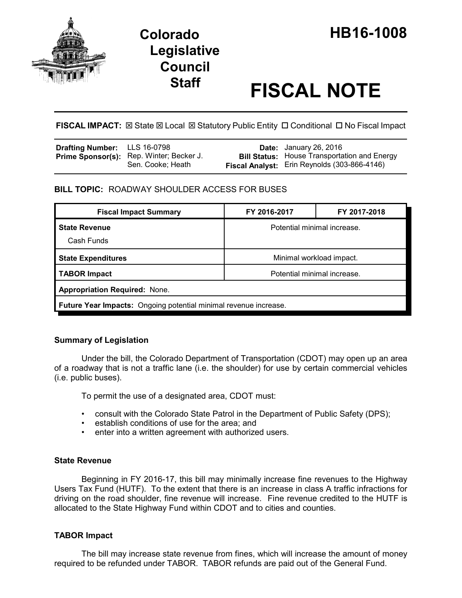

# **Staff FISCAL NOTE**

**FISCAL IMPACT:** ⊠ State ⊠ Local ⊠ Statutory Public Entity □ Conditional □ No Fiscal Impact

| Drafting Number: LLS 16-0798 |                                                                      | <b>Date:</b> January 26, 2016                                                                              |
|------------------------------|----------------------------------------------------------------------|------------------------------------------------------------------------------------------------------------|
|                              | <b>Prime Sponsor(s):</b> Rep. Winter; Becker J.<br>Sen. Cooke; Heath | <b>Bill Status:</b> House Transportation and Energy<br><b>Fiscal Analyst:</b> Erin Reynolds (303-866-4146) |

# **BILL TOPIC:** ROADWAY SHOULDER ACCESS FOR BUSES

| <b>Fiscal Impact Summary</b>                                            | FY 2016-2017                | FY 2017-2018 |  |  |  |
|-------------------------------------------------------------------------|-----------------------------|--------------|--|--|--|
| <b>State Revenue</b>                                                    | Potential minimal increase. |              |  |  |  |
| Cash Funds                                                              |                             |              |  |  |  |
| <b>State Expenditures</b>                                               | Minimal workload impact.    |              |  |  |  |
| <b>TABOR Impact</b>                                                     | Potential minimal increase. |              |  |  |  |
| <b>Appropriation Required: None.</b>                                    |                             |              |  |  |  |
| <b>Future Year Impacts:</b> Ongoing potential minimal revenue increase. |                             |              |  |  |  |

# **Summary of Legislation**

Under the bill, the Colorado Department of Transportation (CDOT) may open up an area of a roadway that is not a traffic lane (i.e. the shoulder) for use by certain commercial vehicles (i.e. public buses).

To permit the use of a designated area, CDOT must:

- consult with the Colorado State Patrol in the Department of Public Safety (DPS);
- establish conditions of use for the area; and
- enter into a written agreement with authorized users.

# **State Revenue**

Beginning in FY 2016-17, this bill may minimally increase fine revenues to the Highway Users Tax Fund (HUTF). To the extent that there is an increase in class A traffic infractions for driving on the road shoulder, fine revenue will increase. Fine revenue credited to the HUTF is allocated to the State Highway Fund within CDOT and to cities and counties.

# **TABOR Impact**

The bill may increase state revenue from fines, which will increase the amount of money required to be refunded under TABOR. TABOR refunds are paid out of the General Fund.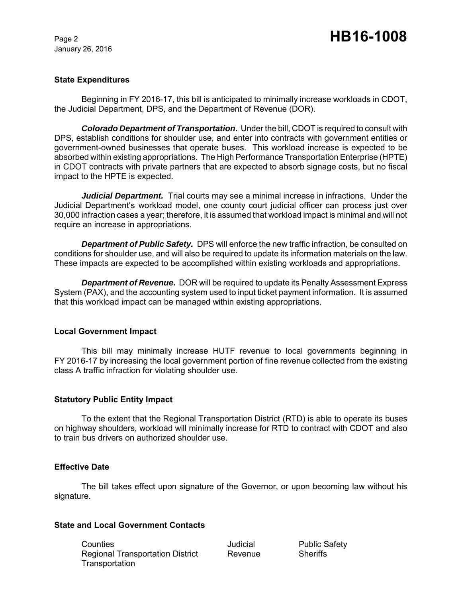January 26, 2016

# Page 2 **HB16-1008**

#### **State Expenditures**

Beginning in FY 2016-17, this bill is anticipated to minimally increase workloads in CDOT, the Judicial Department, DPS, and the Department of Revenue (DOR).

*Colorado Department of Transportation***.** Under the bill, CDOT is required to consult with DPS, establish conditions for shoulder use, and enter into contracts with government entities or government-owned businesses that operate buses. This workload increase is expected to be absorbed within existing appropriations. The High Performance Transportation Enterprise (HPTE) in CDOT contracts with private partners that are expected to absorb signage costs, but no fiscal impact to the HPTE is expected.

*Judicial Department.* Trial courts may see a minimal increase in infractions. Under the Judicial Department's workload model, one county court judicial officer can process just over 30,000 infraction cases a year; therefore, it is assumed that workload impact is minimal and will not require an increase in appropriations.

*Department of Public Safety.* DPS will enforce the new traffic infraction, be consulted on conditions for shoulder use, and will also be required to update its information materials on the law. These impacts are expected to be accomplished within existing workloads and appropriations.

*Department of Revenue***.** DOR will be required to update its Penalty Assessment Express System (PAX), and the accounting system used to input ticket payment information. It is assumed that this workload impact can be managed within existing appropriations.

#### **Local Government Impact**

This bill may minimally increase HUTF revenue to local governments beginning in FY 2016-17 by increasing the local government portion of fine revenue collected from the existing class A traffic infraction for violating shoulder use.

#### **Statutory Public Entity Impact**

To the extent that the Regional Transportation District (RTD) is able to operate its buses on highway shoulders, workload will minimally increase for RTD to contract with CDOT and also to train bus drivers on authorized shoulder use.

#### **Effective Date**

The bill takes effect upon signature of the Governor, or upon becoming law without his signature.

#### **State and Local Government Contacts**

**Counties Counties Counties** Counties Counties All Dudicial Public Safety Regional Transportation District Revenue Sheriffs **Transportation**